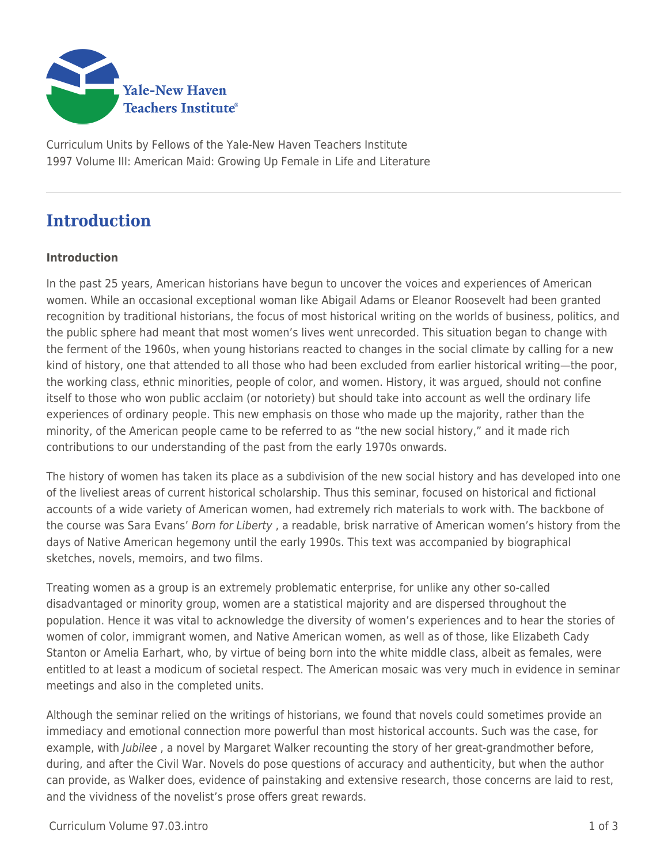

Curriculum Units by Fellows of the Yale-New Haven Teachers Institute 1997 Volume III: American Maid: Growing Up Female in Life and Literature

## **Introduction**

## **Introduction**

In the past 25 years, American historians have begun to uncover the voices and experiences of American women. While an occasional exceptional woman like Abigail Adams or Eleanor Roosevelt had been granted recognition by traditional historians, the focus of most historical writing on the worlds of business, politics, and the public sphere had meant that most women's lives went unrecorded. This situation began to change with the ferment of the 1960s, when young historians reacted to changes in the social climate by calling for a new kind of history, one that attended to all those who had been excluded from earlier historical writing—the poor, the working class, ethnic minorities, people of color, and women. History, it was argued, should not confine itself to those who won public acclaim (or notoriety) but should take into account as well the ordinary life experiences of ordinary people. This new emphasis on those who made up the majority, rather than the minority, of the American people came to be referred to as "the new social history," and it made rich contributions to our understanding of the past from the early 1970s onwards.

The history of women has taken its place as a subdivision of the new social history and has developed into one of the liveliest areas of current historical scholarship. Thus this seminar, focused on historical and fictional accounts of a wide variety of American women, had extremely rich materials to work with. The backbone of the course was Sara Evans' Born for Liberty , a readable, brisk narrative of American women's history from the days of Native American hegemony until the early 1990s. This text was accompanied by biographical sketches, novels, memoirs, and two films.

Treating women as a group is an extremely problematic enterprise, for unlike any other so-called disadvantaged or minority group, women are a statistical majority and are dispersed throughout the population. Hence it was vital to acknowledge the diversity of women's experiences and to hear the stories of women of color, immigrant women, and Native American women, as well as of those, like Elizabeth Cady Stanton or Amelia Earhart, who, by virtue of being born into the white middle class, albeit as females, were entitled to at least a modicum of societal respect. The American mosaic was very much in evidence in seminar meetings and also in the completed units.

Although the seminar relied on the writings of historians, we found that novels could sometimes provide an immediacy and emotional connection more powerful than most historical accounts. Such was the case, for example, with *Jubilee*, a novel by Margaret Walker recounting the story of her great-grandmother before, during, and after the Civil War. Novels do pose questions of accuracy and authenticity, but when the author can provide, as Walker does, evidence of painstaking and extensive research, those concerns are laid to rest, and the vividness of the novelist's prose offers great rewards.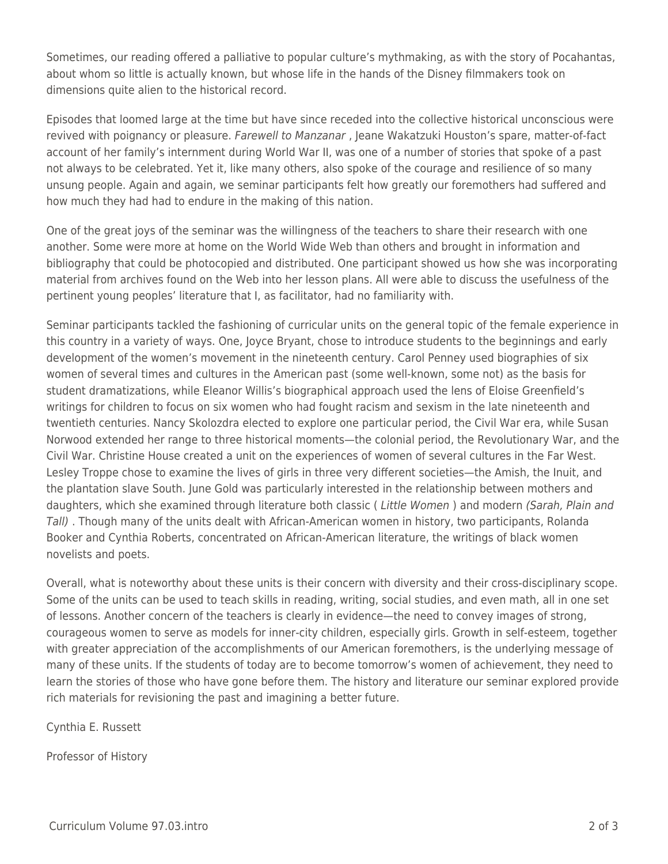Sometimes, our reading offered a palliative to popular culture's mythmaking, as with the story of Pocahantas, about whom so little is actually known, but whose life in the hands of the Disney filmmakers took on dimensions quite alien to the historical record.

Episodes that loomed large at the time but have since receded into the collective historical unconscious were revived with poignancy or pleasure. Farewell to Manzanar, Jeane Wakatzuki Houston's spare, matter-of-fact account of her family's internment during World War II, was one of a number of stories that spoke of a past not always to be celebrated. Yet it, like many others, also spoke of the courage and resilience of so many unsung people. Again and again, we seminar participants felt how greatly our foremothers had suffered and how much they had had to endure in the making of this nation.

One of the great joys of the seminar was the willingness of the teachers to share their research with one another. Some were more at home on the World Wide Web than others and brought in information and bibliography that could be photocopied and distributed. One participant showed us how she was incorporating material from archives found on the Web into her lesson plans. All were able to discuss the usefulness of the pertinent young peoples' literature that I, as facilitator, had no familiarity with.

Seminar participants tackled the fashioning of curricular units on the general topic of the female experience in this country in a variety of ways. One, Joyce Bryant, chose to introduce students to the beginnings and early development of the women's movement in the nineteenth century. Carol Penney used biographies of six women of several times and cultures in the American past (some well-known, some not) as the basis for student dramatizations, while Eleanor Willis's biographical approach used the lens of Eloise Greenfield's writings for children to focus on six women who had fought racism and sexism in the late nineteenth and twentieth centuries. Nancy Skolozdra elected to explore one particular period, the Civil War era, while Susan Norwood extended her range to three historical moments—the colonial period, the Revolutionary War, and the Civil War. Christine House created a unit on the experiences of women of several cultures in the Far West. Lesley Troppe chose to examine the lives of girls in three very different societies—the Amish, the Inuit, and the plantation slave South. June Gold was particularly interested in the relationship between mothers and daughters, which she examined through literature both classic (Little Women) and modern (Sarah, Plain and Tall) . Though many of the units dealt with African-American women in history, two participants, Rolanda Booker and Cynthia Roberts, concentrated on African-American literature, the writings of black women novelists and poets.

Overall, what is noteworthy about these units is their concern with diversity and their cross-disciplinary scope. Some of the units can be used to teach skills in reading, writing, social studies, and even math, all in one set of lessons. Another concern of the teachers is clearly in evidence—the need to convey images of strong, courageous women to serve as models for inner-city children, especially girls. Growth in self-esteem, together with greater appreciation of the accomplishments of our American foremothers, is the underlying message of many of these units. If the students of today are to become tomorrow's women of achievement, they need to learn the stories of those who have gone before them. The history and literature our seminar explored provide rich materials for revisioning the past and imagining a better future.

Cynthia E. Russett

Professor of History